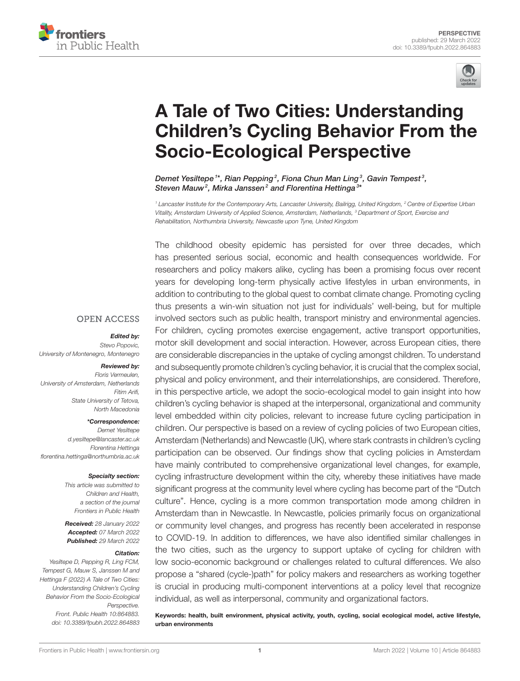



# A Tale of Two Cities: Understanding [Children's Cycling Behavior From the](https://www.frontiersin.org/articles/10.3389/fpubh.2022.864883/full) Socio-Ecological Perspective

Demet Yesiltepe $^{1*}$ , Rian Pepping $^{2}$ , Fiona Chun Man Ling $^{3}$ , Gavin Tempest $^{3}$ , Steven Mauw<sup>2</sup>, Mirka Janssen<sup>2</sup> and Florentina Hettinga<sup>3\*</sup>

*<sup>1</sup> Lancaster Institute for the Contemporary Arts, Lancaster University, Bailrigg, United Kingdom, <sup>2</sup> Centre of Expertise Urban Vitality, Amsterdam University of Applied Science, Amsterdam, Netherlands, <sup>3</sup> Department of Sport, Exercise and Rehabilitation, Northumbria University, Newcastle upon Tyne, United Kingdom*

The childhood obesity epidemic has persisted for over three decades, which has presented serious social, economic and health consequences worldwide. For researchers and policy makers alike, cycling has been a promising focus over recent years for developing long-term physically active lifestyles in urban environments, in addition to contributing to the global quest to combat climate change. Promoting cycling thus presents a win-win situation not just for individuals' well-being, but for multiple involved sectors such as public health, transport ministry and environmental agencies. For children, cycling promotes exercise engagement, active transport opportunities, motor skill development and social interaction. However, across European cities, there are considerable discrepancies in the uptake of cycling amongst children. To understand and subsequently promote children's cycling behavior, it is crucial that the complex social, physical and policy environment, and their interrelationships, are considered. Therefore, in this perspective article, we adopt the socio-ecological model to gain insight into how children's cycling behavior is shaped at the interpersonal, organizational and community level embedded within city policies, relevant to increase future cycling participation in children. Our perspective is based on a review of cycling policies of two European cities, Amsterdam (Netherlands) and Newcastle (UK), where stark contrasts in children's cycling participation can be observed. Our findings show that cycling policies in Amsterdam have mainly contributed to comprehensive organizational level changes, for example, cycling infrastructure development within the city, whereby these initiatives have made significant progress at the community level where cycling has become part of the "Dutch culture". Hence, cycling is a more common transportation mode among children in Amsterdam than in Newcastle. In Newcastle, policies primarily focus on organizational or community level changes, and progress has recently been accelerated in response to COVID-19. In addition to differences, we have also identified similar challenges in the two cities, such as the urgency to support uptake of cycling for children with low socio-economic background or challenges related to cultural differences. We also propose a "shared (cycle-)path" for policy makers and researchers as working together is crucial in producing multi-component interventions at a policy level that recognize individual, as well as interpersonal, community and organizational factors.

Keywords: health, built environment, physical activity, youth, cycling, social ecological model, active lifestyle, urban environments

#### **OPEN ACCESS**

#### Edited by:

*Stevo Popovic, University of Montenegro, Montenegro*

#### Reviewed by:

*Floris Vermeulen, University of Amsterdam, Netherlands Fitim Arifi, State University of Tetova, North Macedonia*

#### \*Correspondence:

*Demet Yesiltepe [d.yesiltepe@lancaster.ac.uk](mailto:d.yesiltepe@lancaster.ac.uk) Florentina Hettinga [florentina.hettinga@northumbria.ac.uk](mailto:florentina.hettinga@northumbria.ac.uk)*

#### Specialty section:

*This article was submitted to Children and Health, a section of the journal Frontiers in Public Health*

Received: *28 January 2022* Accepted: *07 March 2022* Published: *29 March 2022*

#### Citation:

*Yesiltepe D, Pepping R, Ling FCM, Tempest G, Mauw S, Janssen M and Hettinga F (2022) A Tale of Two Cities: Understanding Children's Cycling Behavior From the Socio-Ecological Perspective. Front. Public Health 10:864883. doi: [10.3389/fpubh.2022.864883](https://doi.org/10.3389/fpubh.2022.864883)*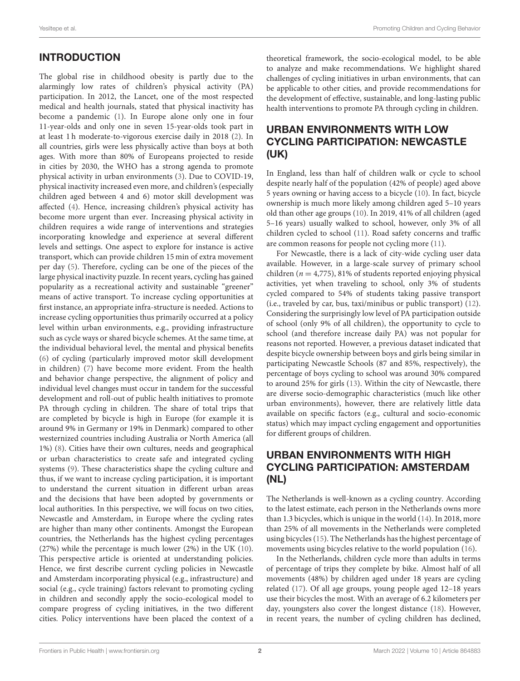# INTRODUCTION

The global rise in childhood obesity is partly due to the alarmingly low rates of children's physical activity (PA) participation. In 2012, the Lancet, one of the most respected medical and health journals, stated that physical inactivity has become a pandemic [\(1\)](#page-4-0). In Europe alone only one in four 11-year-olds and only one in seven 15-year-olds took part in at least 1 h moderate-to-vigorous exercise daily in 2018 [\(2\)](#page-4-1). In all countries, girls were less physically active than boys at both ages. With more than 80% of Europeans projected to reside in cities by 2030, the WHO has a strong agenda to promote physical activity in urban environments [\(3\)](#page-4-2). Due to COVID-19, physical inactivity increased even more, and children's (especially children aged between 4 and 6) motor skill development was affected [\(4\)](#page-4-3). Hence, increasing children's physical activity has become more urgent than ever. Increasing physical activity in children requires a wide range of interventions and strategies incorporating knowledge and experience at several different levels and settings. One aspect to explore for instance is active transport, which can provide children 15 min of extra movement per day [\(5\)](#page-4-4). Therefore, cycling can be one of the pieces of the large physical inactivity puzzle. In recent years, cycling has gained popularity as a recreational activity and sustainable "greener" means of active transport. To increase cycling opportunities at first instance, an appropriate infra-structure is needed. Actions to increase cycling opportunities thus primarily occurred at a policy level within urban environments, e.g., providing infrastructure such as cycle ways or shared bicycle schemes. At the same time, at the individual behavioral level, the mental and physical benefits [\(6\)](#page-4-5) of cycling (particularly improved motor skill development in children) [\(7\)](#page-4-6) have become more evident. From the health and behavior change perspective, the alignment of policy and individual level changes must occur in tandem for the successful development and roll-out of public health initiatives to promote PA through cycling in children. The share of total trips that are completed by bicycle is high in Europe (for example it is around 9% in Germany or 19% in Denmark) compared to other westernized countries including Australia or North America (all 1%) [\(8\)](#page-4-7). Cities have their own cultures, needs and geographical or urban characteristics to create safe and integrated cycling systems [\(9\)](#page-4-8). These characteristics shape the cycling culture and thus, if we want to increase cycling participation, it is important to understand the current situation in different urban areas and the decisions that have been adopted by governments or local authorities. In this perspective, we will focus on two cities, Newcastle and Amsterdam, in Europe where the cycling rates are higher than many other continents. Amongst the European countries, the Netherlands has the highest cycling percentages (27%) while the percentage is much lower (2%) in the UK [\(10\)](#page-4-9). This perspective article is oriented at understanding policies. Hence, we first describe current cycling policies in Newcastle and Amsterdam incorporating physical (e.g., infrastructure) and social (e.g., cycle training) factors relevant to promoting cycling in children and secondly apply the socio-ecological model to compare progress of cycling initiatives, in the two different cities. Policy interventions have been placed the context of a

theoretical framework, the socio-ecological model, to be able to analyze and make recommendations. We highlight shared challenges of cycling initiatives in urban environments, that can be applicable to other cities, and provide recommendations for the development of effective, sustainable, and long-lasting public health interventions to promote PA through cycling in children.

### URBAN ENVIRONMENTS WITH LOW CYCLING PARTICIPATION: NEWCASTLE (UK)

In England, less than half of children walk or cycle to school despite nearly half of the population (42% of people) aged above 5 years owning or having access to a bicycle [\(10\)](#page-4-9). In fact, bicycle ownership is much more likely among children aged 5–10 years old than other age groups [\(10\)](#page-4-9). In 2019, 41% of all children (aged 5–16 years) usually walked to school, however, only 3% of all children cycled to school [\(11\)](#page-4-10). Road safety concerns and traffic are common reasons for people not cycling more [\(11\)](#page-4-10).

For Newcastle, there is a lack of city-wide cycling user data available. However, in a large-scale survey of primary school children ( $n = 4,775$ ), 81% of students reported enjoying physical activities, yet when traveling to school, only 3% of students cycled compared to 54% of students taking passive transport (i.e., traveled by car, bus, taxi/minibus or public transport) [\(12\)](#page-4-11). Considering the surprisingly low level of PA participation outside of school (only 9% of all children), the opportunity to cycle to school (and therefore increase daily PA) was not popular for reasons not reported. However, a previous dataset indicated that despite bicycle ownership between boys and girls being similar in participating Newcastle Schools (87 and 85%, respectively), the percentage of boys cycling to school was around 30% compared to around 25% for girls [\(13\)](#page-4-12). Within the city of Newcastle, there are diverse socio-demographic characteristics (much like other urban environments), however, there are relatively little data available on specific factors (e.g., cultural and socio-economic status) which may impact cycling engagement and opportunities for different groups of children.

# URBAN ENVIRONMENTS WITH HIGH CYCLING PARTICIPATION: AMSTERDAM (NL)

The Netherlands is well-known as a cycling country. According to the latest estimate, each person in the Netherlands owns more than 1.3 bicycles, which is unique in the world [\(14\)](#page-5-0). In 2018, more than 25% of all movements in the Netherlands were completed using bicycles [\(15\)](#page-5-1). The Netherlands has the highest percentage of movements using bicycles relative to the world population [\(16\)](#page-5-2).

In the Netherlands, children cycle more than adults in terms of percentage of trips they complete by bike. Almost half of all movements (48%) by children aged under 18 years are cycling related [\(17\)](#page-5-3). Of all age groups, young people aged 12–18 years use their bicycles the most. With an average of 6.2 kilometers per day, youngsters also cover the longest distance [\(18\)](#page-5-4). However, in recent years, the number of cycling children has declined,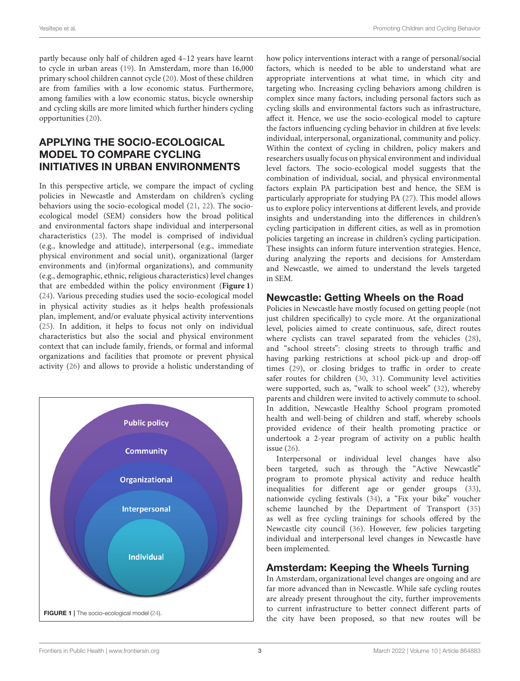partly because only half of children aged 4–12 years have learnt to cycle in urban areas [\(19\)](#page-5-5). In Amsterdam, more than 16,000 primary school children cannot cycle [\(20\)](#page-5-6). Most of these children are from families with a low economic status. Furthermore, among families with a low economic status, bicycle ownership and cycling skills are more limited which further hinders cycling opportunities [\(20\)](#page-5-6).

# APPLYING THE SOCIO-ECOLOGICAL MODEL TO COMPARE CYCLING INITIATIVES IN URBAN ENVIRONMENTS

In this perspective article, we compare the impact of cycling policies in Newcastle and Amsterdam on children's cycling behaviors using the socio-ecological model [\(21,](#page-5-7) [22\)](#page-5-8). The socioecological model (SEM) considers how the broad political and environmental factors shape individual and interpersonal characteristics [\(23\)](#page-5-9). The model is comprised of individual (e.g., knowledge and attitude), interpersonal (e.g., immediate physical environment and social unit), organizational (larger environments and (in)formal organizations), and community (e.g., demographic, ethnic, religious characteristics) level changes that are embedded within the policy environment (**[Figure 1](#page-2-0)**) [\(24\)](#page-5-10). Various preceding studies used the socio-ecological model in physical activity studies as it helps health professionals plan, implement, and/or evaluate physical activity interventions [\(25\)](#page-5-11). In addition, it helps to focus not only on individual characteristics but also the social and physical environment context that can include family, friends, or formal and informal organizations and facilities that promote or prevent physical activity [\(26\)](#page-5-12) and allows to provide a holistic understanding of

<span id="page-2-0"></span>

how policy interventions interact with a range of personal/social factors, which is needed to be able to understand what are appropriate interventions at what time, in which city and targeting who. Increasing cycling behaviors among children is complex since many factors, including personal factors such as cycling skills and environmental factors such as infrastructure, affect it. Hence, we use the socio-ecological model to capture the factors influencing cycling behavior in children at five levels: individual, interpersonal, organizational, community and policy. Within the context of cycling in children, policy makers and researchers usually focus on physical environment and individual level factors. The socio-ecological model suggests that the combination of individual, social, and physical environmental factors explain PA participation best and hence, the SEM is particularly appropriate for studying PA [\(27\)](#page-5-13). This model allows us to explore policy interventions at different levels, and provide insights and understanding into the differences in children's cycling participation in different cities, as well as in promotion policies targeting an increase in children's cycling participation. These insights can inform future intervention strategies. Hence, during analyzing the reports and decisions for Amsterdam and Newcastle, we aimed to understand the levels targeted in SEM.

#### Newcastle: Getting Wheels on the Road

Policies in Newcastle have mostly focused on getting people (not just children specifically) to cycle more. At the organizational level, policies aimed to create continuous, safe, direct routes where cyclists can travel separated from the vehicles [\(28\)](#page-5-14), and "school streets": closing streets to through traffic and having parking restrictions at school pick-up and drop-off times [\(29\)](#page-5-15), or closing bridges to traffic in order to create safer routes for children [\(30,](#page-5-16) [31\)](#page-5-17). Community level activities were supported, such as, "walk to school week" [\(32\)](#page-5-18), whereby parents and children were invited to actively commute to school. In addition, Newcastle Healthy School program promoted health and well-being of children and staff, whereby schools provided evidence of their health promoting practice or undertook a 2-year program of activity on a public health issue [\(26\)](#page-5-12).

Interpersonal or individual level changes have also been targeted, such as through the "Active Newcastle" program to promote physical activity and reduce health inequalities for different age or gender groups [\(33\)](#page-5-19), nationwide cycling festivals [\(34\)](#page-5-20), a "Fix your bike" voucher scheme launched by the Department of Transport [\(35\)](#page-5-21) as well as free cycling trainings for schools offered by the Newcastle city council [\(36\)](#page-5-22). However, few policies targeting individual and interpersonal level changes in Newcastle have been implemented.

#### Amsterdam: Keeping the Wheels Turning

In Amsterdam, organizational level changes are ongoing and are far more advanced than in Newcastle. While safe cycling routes are already present throughout the city, further improvements to current infrastructure to better connect different parts of the city have been proposed, so that new routes will be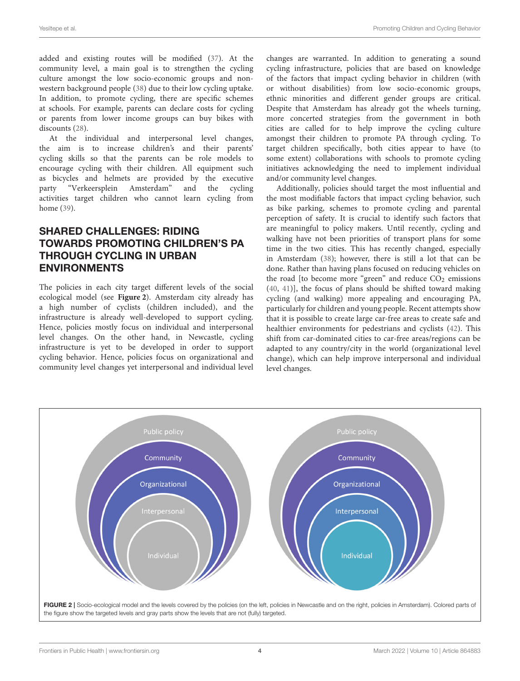added and existing routes will be modified [\(37\)](#page-5-23). At the community level, a main goal is to strengthen the cycling culture amongst the low socio-economic groups and nonwestern background people [\(38\)](#page-5-24) due to their low cycling uptake. In addition, to promote cycling, there are specific schemes at schools. For example, parents can declare costs for cycling or parents from lower income groups can buy bikes with discounts [\(28\)](#page-5-14).

At the individual and interpersonal level changes, the aim is to increase children's and their parents' cycling skills so that the parents can be role models to encourage cycling with their children. All equipment such as bicycles and helmets are provided by the executive party "Verkeersplein Amsterdam" and the cycling activities target children who cannot learn cycling from home [\(39\)](#page-5-25).

# SHARED CHALLENGES: RIDING TOWARDS PROMOTING CHILDREN'S PA THROUGH CYCLING IN URBAN ENVIRONMENTS

The policies in each city target different levels of the social ecological model (see **[Figure 2](#page-3-0)**). Amsterdam city already has a high number of cyclists (children included), and the infrastructure is already well-developed to support cycling. Hence, policies mostly focus on individual and interpersonal level changes. On the other hand, in Newcastle, cycling infrastructure is yet to be developed in order to support cycling behavior. Hence, policies focus on organizational and community level changes yet interpersonal and individual level changes are warranted. In addition to generating a sound cycling infrastructure, policies that are based on knowledge of the factors that impact cycling behavior in children (with or without disabilities) from low socio-economic groups, ethnic minorities and different gender groups are critical. Despite that Amsterdam has already got the wheels turning, more concerted strategies from the government in both cities are called for to help improve the cycling culture amongst their children to promote PA through cycling. To target children specifically, both cities appear to have (to some extent) collaborations with schools to promote cycling initiatives acknowledging the need to implement individual and/or community level changes.

Additionally, policies should target the most influential and the most modifiable factors that impact cycling behavior, such as bike parking, schemes to promote cycling and parental perception of safety. It is crucial to identify such factors that are meaningful to policy makers. Until recently, cycling and walking have not been priorities of transport plans for some time in the two cities. This has recently changed, especially in Amsterdam [\(38\)](#page-5-24); however, there is still a lot that can be done. Rather than having plans focused on reducing vehicles on the road [to become more "green" and reduce  $CO<sub>2</sub>$  emissions [\(40,](#page-5-26) [41\)](#page-5-27)], the focus of plans should be shifted toward making cycling (and walking) more appealing and encouraging PA, particularly for children and young people. Recent attempts show that it is possible to create large car-free areas to create safe and healthier environments for pedestrians and cyclists [\(42\)](#page-5-28). This shift from car-dominated cities to car-free areas/regions can be adapted to any country/city in the world (organizational level change), which can help improve interpersonal and individual level changes.

<span id="page-3-0"></span>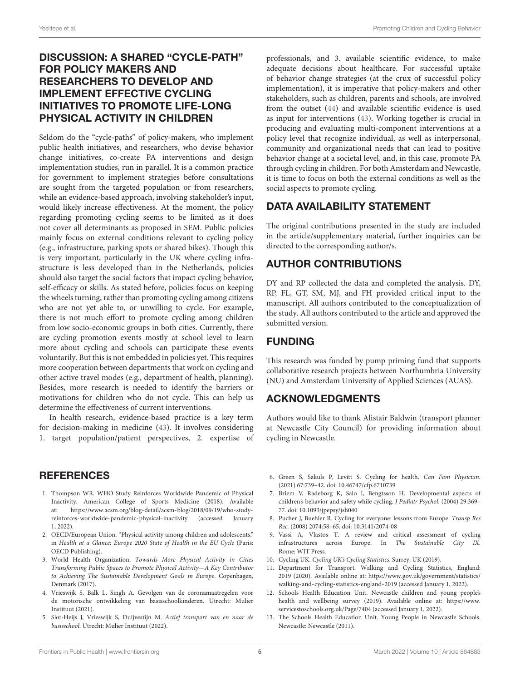#### Yesiltepe et al. Promoting Children and Cycling Behavior

#### DISCUSSION: A SHARED "CYCLE-PATH" FOR POLICY MAKERS AND RESEARCHERS TO DEVELOP AND IMPLEMENT EFFECTIVE CYCLING INITIATIVES TO PROMOTE LIFE-LONG PHYSICAL ACTIVITY IN CHILDREN

Seldom do the "cycle-paths" of policy-makers, who implement public health initiatives, and researchers, who devise behavior change initiatives, co-create PA interventions and design implementation studies, run in parallel. It is a common practice for government to implement strategies before consultations are sought from the targeted population or from researchers, while an evidence-based approach, involving stakeholder's input, would likely increase effectiveness. At the moment, the policy regarding promoting cycling seems to be limited as it does not cover all determinants as proposed in SEM. Public policies mainly focus on external conditions relevant to cycling policy (e.g., infrastructure, parking spots or shared bikes). Though this is very important, particularly in the UK where cycling infrastructure is less developed than in the Netherlands, policies should also target the social factors that impact cycling behavior, self-efficacy or skills. As stated before, policies focus on keeping the wheels turning, rather than promoting cycling among citizens who are not yet able to, or unwilling to cycle. For example, there is not much effort to promote cycling among children from low socio-economic groups in both cities. Currently, there are cycling promotion events mostly at school level to learn more about cycling and schools can participate these events voluntarily. But this is not embedded in policies yet. This requires more cooperation between departments that work on cycling and other active travel modes (e.g., department of health, planning). Besides, more research is needed to identify the barriers or motivations for children who do not cycle. This can help us determine the effectiveness of current interventions.

In health research, evidence-based practice is a key term for decision-making in medicine [\(43\)](#page-5-29). It involves considering 1. target population/patient perspectives, 2. expertise of

#### **REFERENCES**

- <span id="page-4-0"></span>1. Thompson WR. WHO Study Reinforces Worldwide Pandemic of Physical Inactivity. American College of Sports Medicine (2018). Available at: [https://www.acsm.org/blog-detail/acsm-blog/2018/09/19/who-study](https://www.acsm.org/blog-detail/acsm-blog/2018/09/19/who-study-reinforces-worldwide-pandemic-physical-inactivity)[reinforces-worldwide-pandemic-physical-inactivity](https://www.acsm.org/blog-detail/acsm-blog/2018/09/19/who-study-reinforces-worldwide-pandemic-physical-inactivity) (accessed January 1, 2022).
- <span id="page-4-1"></span>2. OECD/European Union. "Physical activity among children and adolescents," in Health at a Glance: Europe 2020 State of Health in the EU Cycle (Paris: OECD Publishing).
- <span id="page-4-2"></span>3. World Health Organization. Towards More Physical Activity in Cities Transforming Public Spaces to Promote Physical Activity—A Key Contributor to Achieving The Sustainable Development Goals in Europe. Copenhagen, Denmark (2017).
- <span id="page-4-3"></span>4. Vrieswijk S, Balk L, Singh A. Gevolgen van de coronamaatregelen voor de motorische ontwikkeling van basisschoolkinderen. Utrecht: Mulier Instituut (2021).
- <span id="page-4-4"></span>5. Slot-Heijs J, Vrieswijk S, Duijvestijn M. Actief transport van en naar de basisschool. Utrecht: Mulier Instituut (2022).

professionals, and 3. available scientific evidence, to make adequate decisions about healthcare. For successful uptake of behavior change strategies (at the crux of successful policy implementation), it is imperative that policy-makers and other stakeholders, such as children, parents and schools, are involved from the outset [\(44\)](#page-5-30) and available scientific evidence is used as input for interventions [\(43\)](#page-5-29). Working together is crucial in producing and evaluating multi-component interventions at a policy level that recognize individual, as well as interpersonal, community and organizational needs that can lead to positive behavior change at a societal level, and, in this case, promote PA through cycling in children. For both Amsterdam and Newcastle, it is time to focus on both the external conditions as well as the social aspects to promote cycling.

# DATA AVAILABILITY STATEMENT

The original contributions presented in the study are included in the article/supplementary material, further inquiries can be directed to the corresponding author/s.

# AUTHOR CONTRIBUTIONS

DY and RP collected the data and completed the analysis. DY, RP, FL, GT, SM, MJ, and FH provided critical input to the manuscript. All authors contributed to the conceptualization of the study. All authors contributed to the article and approved the submitted version.

#### FUNDING

This research was funded by pump priming fund that supports collaborative research projects between Northumbria University (NU) and Amsterdam University of Applied Sciences (AUAS).

#### ACKNOWLEDGMENTS

Authors would like to thank Alistair Baldwin (transport planner at Newcastle City Council) for providing information about cycling in Newcastle.

- <span id="page-4-5"></span>6. Green S, Sakuls P, Levitt S. Cycling for health. Can Fam Physician. (2021) 67:739–42. doi: [10.46747/cfp.6710739](https://doi.org/10.46747/cfp.6710739)
- <span id="page-4-6"></span>7. Briem V, Radeborg K, Salo I, Bengtsson H. Developmental aspects of children's behavior and safety while cycling. J Pediatr Psychol. (2004) 29:369– 77. doi: [10.1093/jpepsy/jsh040](https://doi.org/10.1093/jpepsy/jsh040)
- <span id="page-4-7"></span>8. Pucher J, Buehler R. Cycling for everyone: lessons from Europe. Transp Res Rec. (2008) 2074:58–65. doi: [10.3141/2074-08](https://doi.org/10.3141/2074-08)
- <span id="page-4-8"></span>9. Vassi A, Vlastos T. A review and critical assessment of cycling infrastructures across Europe. In The Sustainable City IX. Rome: WIT Press.
- <span id="page-4-9"></span>10. Cycling UK. Cycling UK's Cycling Statistics. Surrey, UK (2019).
- <span id="page-4-10"></span>11. Department for Transport. Walking and Cycling Statistics, England: 2019 (2020). Available online at: [https://www.gov.uk/government/statistics/](https://www.gov.uk/government/statistics/walking-and-cycling-statistics-england-2019) [walking-and-cycling-statistics-england-2019](https://www.gov.uk/government/statistics/walking-and-cycling-statistics-england-2019) (accessed January 1, 2022).
- <span id="page-4-11"></span>12. Schools Health Education Unit. Newcastle children and young people's health and wellbeing survey (2019). Available online at: [https://www.](https://www.servicestoschools.org.uk/Page/7404) [servicestoschools.org.uk/Page/7404](https://www.servicestoschools.org.uk/Page/7404) (accessed January 1, 2022).
- <span id="page-4-12"></span>13. The Schools Health Education Unit. Young People in Newcastle Schools. Newcastle: Newcastle (2011).